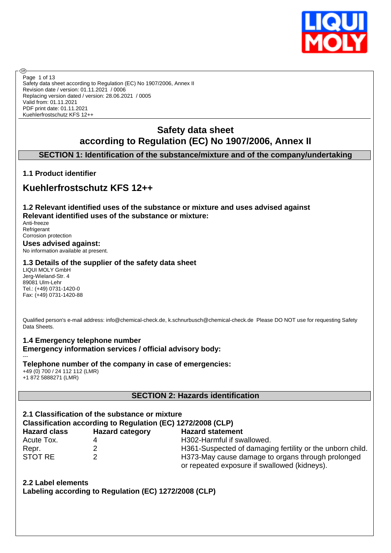

Safety data sheet according to Regulation (EC) No 1907/2006, Annex II Revision date / version: 01.11.2021 / 0006 Replacing version dated / version: 28.06.2021 / 0005 Valid from: 01.11.2021 PDF print date: 01.11.2021 Kuehlerfrostschutz KFS 12++ Page 1 of 13

# **Safety data sheet according to Regulation (EC) No 1907/2006, Annex II**

# **SECTION 1: Identification of the substance/mixture and of the company/undertaking**

# **1.1 Product identifier**

®

# **Kuehlerfrostschutz KFS 12++**

**1.2 Relevant identified uses of the substance or mixture and uses advised against Relevant identified uses of the substance or mixture:** Anti-freeze **Refrigerant** 

Corrosion protection **Uses advised against:** No information available at present.

# **1.3 Details of the supplier of the safety data sheet**

LIQUI MOLY GmbH Jerg-Wieland-Str. 4 89081 Ulm-Lehr Tel.: (+49) 0731-1420-0 Fax: (+49) 0731-1420-88

Qualified person's e-mail address: info@chemical-check.de, k.schnurbusch@chemical-check.de Please DO NOT use for requesting Safety Data Sheets.

**1.4 Emergency telephone number Emergency information services / official advisory body:**

--- **Telephone number of the company in case of emergencies:** +49 (0) 700 / 24 112 112 (LMR) +1 872 5888271 (LMR)

# **SECTION 2: Hazards identification**

| 2.1 Classification of the substance or mixture<br>Classification according to Regulation (EC) 1272/2008 (CLP) |                        |                                                                                                   |  |  |  |  |  |
|---------------------------------------------------------------------------------------------------------------|------------------------|---------------------------------------------------------------------------------------------------|--|--|--|--|--|
| <b>Hazard class</b>                                                                                           | <b>Hazard category</b> | <b>Hazard statement</b>                                                                           |  |  |  |  |  |
| Acute Tox.                                                                                                    | 4                      | H302-Harmful if swallowed.                                                                        |  |  |  |  |  |
| Repr.                                                                                                         |                        | H361-Suspected of damaging fertility or the unborn child.                                         |  |  |  |  |  |
| STOT RE                                                                                                       | 2                      | H373-May cause damage to organs through prolonged<br>or repeated exposure if swallowed (kidneys). |  |  |  |  |  |

**2.2 Label elements Labeling according to Regulation (EC) 1272/2008 (CLP)**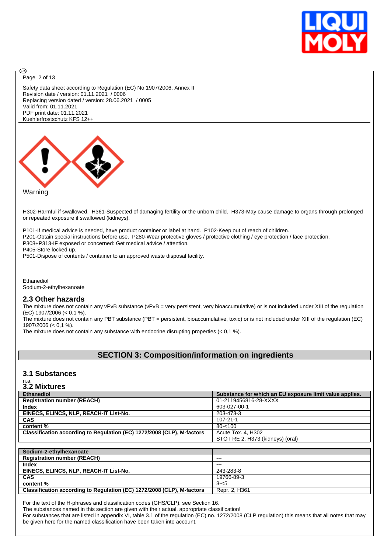

Page 2 of 13

**®** 

Safety data sheet according to Regulation (EC) No 1907/2006, Annex II Revision date / version: 01.11.2021 / 0006 Replacing version dated / version: 28.06.2021 / 0005 Valid from: 01.11.2021 PDF print date: 01.11.2021 Kuehlerfrostschutz KFS 12++



#### **Warning**

H302-Harmful if swallowed. H361-Suspected of damaging fertility or the unborn child. H373-May cause damage to organs through prolonged or repeated exposure if swallowed (kidneys).

P101-If medical advice is needed, have product container or label at hand. P102-Keep out of reach of children. P201-Obtain special instructions before use. P280-Wear protective gloves / protective clothing / eye protection / face protection. P308+P313-IF exposed or concerned: Get medical advice / attention. P405-Store locked up. P501-Dispose of contents / container to an approved waste disposal facility.

Ethanediol Sodium-2-ethylhexanoate

#### **2.3 Other hazards**

The mixture does not contain any vPvB substance (vPvB = very persistent, very bioaccumulative) or is not included under XIII of the regulation (EC) 1907/2006 (< 0,1 %).

The mixture does not contain any PBT substance (PBT = persistent, bioaccumulative, toxic) or is not included under XIII of the regulation (EC) 1907/2006 (< 0,1 %).

The mixture does not contain any substance with endocrine disrupting properties  $( $0.1\%$ ).$ 

# **SECTION 3: Composition/information on ingredients**

#### **3.1 Substances**

# n.a. **3.2 Mixtures**

| <b>Ethanediol</b>                                                      | Substance for which an EU exposure limit value applies. |
|------------------------------------------------------------------------|---------------------------------------------------------|
| <b>Registration number (REACH)</b>                                     | 01-2119456816-28-XXXX                                   |
| <b>Index</b>                                                           | 603-027-00-1                                            |
| EINECS, ELINCS, NLP, REACH-IT List-No.                                 | 203-473-3                                               |
| <b>CAS</b>                                                             | $107 - 21 - 1$                                          |
| content %                                                              | $80 - 100$                                              |
| Classification according to Regulation (EC) 1272/2008 (CLP), M-factors | Acute Tox. 4, H302                                      |
|                                                                        | STOT RE 2, H373 (kidneys) (oral)                        |
|                                                                        |                                                         |
| Sodium-2-ethylhexanoate                                                |                                                         |
| <b>Registration number (REACH)</b>                                     | $--$                                                    |
| <b>Index</b>                                                           | $---$                                                   |
| EINECS, ELINCS, NLP, REACH-IT List-No.                                 | 243-283-8                                               |
| <b>CAS</b>                                                             | 19766-89-3                                              |
| content %                                                              | $3 - 5$                                                 |
| Classification according to Regulation (EC) 1272/2008 (CLP), M-factors | Repr. 2, H361                                           |

For the text of the H-phrases and classification codes (GHS/CLP), see Section 16.

The substances named in this section are given with their actual, appropriate classification!

For substances that are listed in appendix VI, table 3.1 of the regulation (EC) no. 1272/2008 (CLP regulation) this means that all notes that may be given here for the named classification have been taken into account.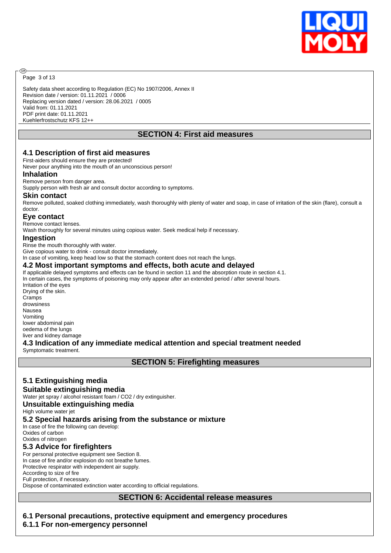

Page 3 of 13

ඹ

Safety data sheet according to Regulation (EC) No 1907/2006, Annex II Revision date / version: 01.11.2021 / 0006 Replacing version dated / version: 28.06.2021 / 0005 Valid from: 01.11.2021 PDF print date: 01.11.2021 Kuehlerfrostschutz KFS 12++

# **SECTION 4: First aid measures**

#### **4.1 Description of first aid measures**

First-aiders should ensure they are protected! Never pour anything into the mouth of an unconscious person!

#### **Inhalation**

#### Remove person from danger area.

Supply person with fresh air and consult doctor according to symptoms.

#### **Skin contact**

Remove polluted, soaked clothing immediately, wash thoroughly with plenty of water and soap, in case of irritation of the skin (flare), consult a doctor.

#### **Eye contact**

Remove contact lenses.

Wash thoroughly for several minutes using copious water. Seek medical help if necessary.

#### **Ingestion**

Rinse the mouth thoroughly with water.

Give copious water to drink - consult doctor immediately.

In case of vomiting, keep head low so that the stomach content does not reach the lungs.

#### **4.2 Most important symptoms and effects, both acute and delayed**

If applicable delayed symptoms and effects can be found in section 11 and the absorption route in section 4.1. In certain cases, the symptoms of poisoning may only appear after an extended period / after several hours. Irritation of the eyes Drying of the skin.

Cramps drowsiness Nausea Vomiting lower abdominal pain oedema of the lungs

liver and kidney damage

#### **4.3 Indication of any immediate medical attention and special treatment needed**

Symptomatic treatment.

#### **SECTION 5: Firefighting measures**

# **5.1 Extinguishing media**

#### **Suitable extinguishing media**

Water jet spray / alcohol resistant foam / CO2 / dry extinguisher.

#### **Unsuitable extinguishing media**

High volume water jet

#### **5.2 Special hazards arising from the substance or mixture**

In case of fire the following can develop: Oxides of carbon

#### Oxides of nitrogen

#### **5.3 Advice for firefighters**

For personal protective equipment see Section 8.

In case of fire and/or explosion do not breathe fumes.

Protective respirator with independent air supply.

According to size of fire Full protection, if necessary.

Dispose of contaminated extinction water according to official regulations.

**SECTION 6: Accidental release measures**

**6.1 Personal precautions, protective equipment and emergency procedures 6.1.1 For non-emergency personnel**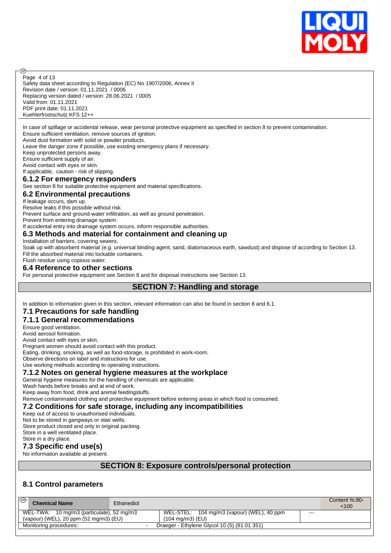

Safety data sheet according to Regulation (EC) No 1907/2006, Annex II Revision date / version: 01.11.2021 / 0006 Replacing version dated / version: 28.06.2021 / 0005 Valid from: 01.11.2021 PDF print date: 01.11.2021 Kuehlerfrostschutz KFS 12++ Page 4 of 13

In case of spillage or accidental release, wear personal protective equipment as specified in section 8 to prevent contamination. Ensure sufficient ventilation, remove sources of ignition.

Avoid dust formation with solid or powder products.

Leave the danger zone if possible, use existing emergency plans if necessary.

Keep unprotected persons away.

൹

Ensure sufficient supply of air.

Avoid contact with eyes or skin. If applicable, caution - risk of slipping.

#### **6.1.2 For emergency responders**

See section 8 for suitable protective equipment and material specifications.

#### **6.2 Environmental precautions**

If leakage occurs, dam up.

Resolve leaks if this possible without risk.

Prevent surface and ground-water infiltration, as well as ground penetration.

Prevent from entering drainage system.

If accidental entry into drainage system occurs, inform responsible authorities.

#### **6.3 Methods and material for containment and cleaning up**

Installation of barriers, covering sewers.

Soak up with absorbent material (e.g. universal binding agent, sand, diatomaceous earth, sawdust) and dispose of according to Section 13. Fill the absorbed material into lockable containers.

#### Flush residue using copious water. **6.4 Reference to other sections**

For personal protective equipment see Section 8 and for disposal instructions see Section 13.

**SECTION 7: Handling and storage**

In addition to information given in this section, relevant information can also be found in section 8 and 6.1.

#### **7.1 Precautions for safe handling**

#### **7.1.1 General recommendations**

Ensure good ventilation.

Avoid aerosol formation.

Avoid contact with eyes or skin.

Pregnant women should avoid contact with this product.

Eating, drinking, smoking, as well as food-storage, is prohibited in work-room.

Observe directions on label and instructions for use.

### Use working methods according to operating instructions.

#### **7.1.2 Notes on general hygiene measures at the workplace**

General hygiene measures for the handling of chemicals are applicable.

Wash hands before breaks and at end of work.

Keep away from food, drink and animal feedingstuffs.

Remove contaminated clothing and protective equipment before entering areas in which food is consumed.

#### **7.2 Conditions for safe storage, including any incompatibilities**

Keep out of access to unauthorised individuals.

Not to be stored in gangways or stair wells.

Store product closed and only in original packing.

Store in a well ventilated place. Store in a dry place.

#### **7.3 Specific end use(s)**

No information available at present.

#### **SECTION 8: Exposure controls/personal protection**

# **8.1 Control parameters**

| ⊛ | <b>Chemical Name</b>                             | Ethanediol |                                              |      | Content $%30-$<br>100 <sup>2</sup> |
|---|--------------------------------------------------|------------|----------------------------------------------|------|------------------------------------|
|   | WEL-TWA: 10 mg/m3 (particulate), 52 mg/m3        |            | WEL-STEL: 104 mg/m3 (vapour) (WEL), 40 ppm   | $--$ |                                    |
|   | (vapour) (WEL), 20 ppm $(52 \text{ mg/m3})$ (EU) |            | $(104 \text{ ma/m3})$ (EU)                   |      |                                    |
|   | Monitoring procedures:                           |            | Draeger - Ethylene Glycol 10 (5) (81 01 351) |      |                                    |
|   |                                                  |            |                                              |      |                                    |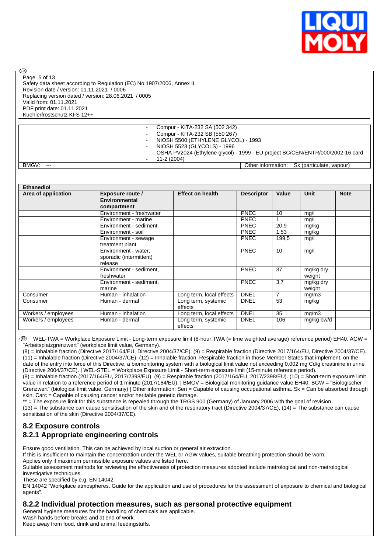

Page 5 of 13

രി

Safety data sheet according to Regulation (EC) No 1907/2006, Annex II Revision date / version: 01.11.2021 / 0006 Replacing version dated / version: 28.06.2021 / 0005 Valid from: 01.11.2021 PDF print date: 01.11.2021 Kuehlerfrostschutz KFS 12++

- Compur - KITA-232 SA (502 342) - Compur - KITA-232 SB (550 267) - NIOSH 5500 (ETHYLENE GLYCOL) - 1993 NIOSH 5523 (GLYCOLS) - 1996 - OSHA PV2024 (Ethylene glycol) - 1999 - EU project BC/CEN/ENTR/000/2002-16 card 11-2 (2004)

BMGV: --- **Character Contracted Contracted Contracted Contracted Contracted Contracted Contracted Contracted Contracted Contracted Contracted Contracted Contracted Contracted Contracted Contracted Contracted Contracted Con** 

| <b>Ethanediol</b>   |                                                            |                                |                   |       |                     |             |
|---------------------|------------------------------------------------------------|--------------------------------|-------------------|-------|---------------------|-------------|
| Area of application | <b>Exposure route /</b><br><b>Environmental</b>            | <b>Effect on health</b>        | <b>Descriptor</b> | Value | Unit                | <b>Note</b> |
|                     | compartment                                                |                                |                   |       |                     |             |
|                     | Environment - freshwater                                   |                                | <b>PNEC</b>       | 10    | mg/l                |             |
|                     | Environment - marine                                       |                                | <b>PNEC</b>       |       | mq/l                |             |
|                     | Environment - sediment                                     |                                | <b>PNEC</b>       | 20,9  | mg/kg               |             |
|                     | Environment - soil                                         |                                | <b>PNEC</b>       | 1,53  | mg/kg               |             |
|                     | Environment - sewage<br>treatment plant                    |                                | <b>PNEC</b>       | 199,5 | mg/l                |             |
|                     | Environment - water,<br>sporadic (intermittent)<br>release |                                | PNEC              | 10    | mg/l                |             |
|                     | Environment - sediment.<br>freshwater                      |                                | <b>PNEC</b>       | 37    | mg/kg dry<br>weight |             |
|                     | Environment - sediment,<br>marine                          |                                | PNEC              | 3,7   | mg/kg dry<br>weight |             |
| Consumer            | Human - inhalation                                         | Long term, local effects       | <b>DNEL</b>       | 7     | mg/m3               |             |
| Consumer            | Human - dermal                                             | Long term, systemic<br>effects | <b>DNEL</b>       | 53    | mg/kg               |             |
| Workers / employees | Human - inhalation                                         | Long term, local effects       | <b>DNEL</b>       | 35    | mg/m3               |             |
| Workers / employees | Human - dermal                                             | Long term, systemic<br>effects | <b>DNEL</b>       | 106   | mg/kg bw/d          |             |

 WEL-TWA = Workplace Exposure Limit - Long-term exposure limit (8-hour TWA (= time weighted average) reference period) EH40. AGW = "Arbeitsplatzgrenzwert" (workplace limit value, Germany).

(8) = Inhalable fraction (Directive 2017/164/EU, Directive 2004/37/CE). (9) = Respirable fraction (Directive 2017/164/EU, Directive 2004/37/CE).  $(11)$  = Inhalable fraction (Directive 2004/37/CE). (12) = Inhalable fraction. Respirable fraction in those Member States that implement, on the date of the entry into force of this Directive, a biomonitoring system with a biological limit value not exceeding 0,002 mg Cd/g creatinine in urine (Directive 2004/37/CE). | WEL-STEL = Workplace Exposure Limit - Short-term exposure limit (15-minute reference period).

(8) = Inhalable fraction (2017/164/EU, 2017/2398/EU). (9) = Respirable fraction (2017/164/EU, 2017/2398/EU). (10) = Short-term exposure limit value in relation to a reference period of 1 minute (2017/164/EU). | BMGV = Biological monitoring guidance value EH40. BGW = "Biologischer Grenzwert" (biological limit value, Germany) | Other information: Sen = Capable of causing occupational asthma. Sk = Can be absorbed through skin. Carc = Capable of causing cancer and/or heritable genetic damage.

\*\* = The exposure limit for this substance is repealed through the TRGS 900 (Germany) of January 2006 with the goal of revision.

 $(13)$  = The substance can cause sensitisation of the skin and of the respiratory tract (Directive 2004/37/CE),  $(14)$  = The substance can cause sensitisation of the skin (Directive 2004/37/CE).

# **8.2 Exposure controls**

# **8.2.1 Appropriate engineering controls**

Ensure good ventilation. This can be achieved by local suction or general air extraction.

If this is insufficient to maintain the concentration under the WEL or AGW values, suitable breathing protection should be worn.

Applies only if maximum permissible exposure values are listed here.

Suitable assessment methods for reviewing the effectiveness of protection measures adopted include metrological and non-metrological investigative techniques.

These are specified by e.g. EN 14042.

EN 14042 "Workplace atmospheres. Guide for the application and use of procedures for the assessment of exposure to chemical and biological agents".

#### **8.2.2 Individual protection measures, such as personal protective equipment**

General hygiene measures for the handling of chemicals are applicable.

Wash hands before breaks and at end of work.

Keep away from food, drink and animal feedingstuffs.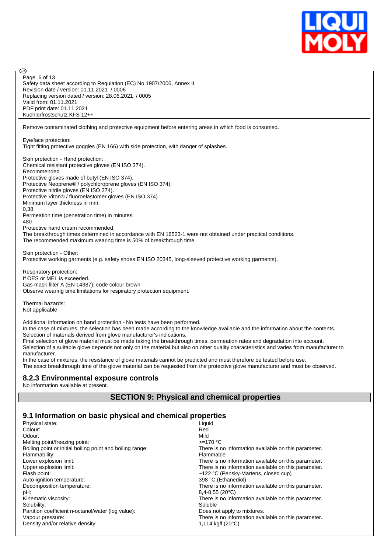

Safety data sheet according to Regulation (EC) No 1907/2006, Annex II Revision date / version: 01.11.2021 / 0006 Replacing version dated / version: 28.06.2021 / 0005 Valid from: 01.11.2021 PDF print date: 01.11.2021 Kuehlerfrostschutz KFS 12++ Page 6 of 13

Remove contaminated clothing and protective equipment before entering areas in which food is consumed.

Eye/face protection: Tight fitting protective goggles (EN 166) with side protection, with danger of splashes.

Skin protection - Hand protection: Chemical resistant protective gloves (EN ISO 374). Recommended Protective gloves made of butyl (EN ISO 374). Protective Neoprene® / polychloroprene gloves (EN ISO 374). Protective nitrile gloves (EN ISO 374). Protective Viton® / fluoroelastomer gloves (EN ISO 374). Minimum layer thickness in mm: 0,38 Permeation time (penetration time) in minutes: 480 Protective hand cream recommended. The breakthrough times determined in accordance with EN 16523-1 were not obtained under practical conditions. The recommended maximum wearing time is 50% of breakthrough time.

Skin protection - Other: Protective working garments (e.g. safety shoes EN ISO 20345, long-sleeved protective working garments).

Respiratory protection: If OES or MEL is exceeded. Gas mask filter A (EN 14387), code colour brown Observe wearing time limitations for respiratory protection equipment.

Thermal hazards: Not applicable

അ

Additional information on hand protection - No tests have been performed.

In the case of mixtures, the selection has been made according to the knowledge available and the information about the contents. Selection of materials derived from glove manufacturer's indications.

Final selection of glove material must be made taking the breakthrough times, permeation rates and degradation into account. Selection of a suitable glove depends not only on the material but also on other quality characteristics and varies from manufacturer to

manufacturer. In the case of mixtures, the resistance of glove materials cannot be predicted and must therefore be tested before use.

The exact breakthrough time of the glove material can be requested from the protective glove manufacturer and must be observed.

# **8.2.3 Environmental exposure controls**

No information available at present.

# **SECTION 9: Physical and chemical properties**

# **9.1 Information on basic physical and chemical properties**

| Physical state:                                           | Liquid                                               |
|-----------------------------------------------------------|------------------------------------------------------|
| Colour:                                                   | Red                                                  |
| Odour:                                                    | Mild                                                 |
| Melting point/freezing point:                             | $>=170 °C$                                           |
| Boiling point or initial boiling point and boiling range: | There is no information available on this parameter. |
| Flammability:                                             | Flammable                                            |
| Lower explosion limit:                                    | There is no information available on this parameter. |
| Upper explosion limit:                                    | There is no information available on this parameter. |
| Flash point:                                              | ~122 °C (Pensky-Martens, closed cup)                 |
| Auto-ignition temperature:                                | 398 °C (Ethanediol)                                  |
| Decomposition temperature:                                | There is no information available on this parameter. |
| pH:                                                       | $8,4 - 8,55$ (20 $^{\circ}$ C)                       |
| Kinematic viscosity:                                      | There is no information available on this parameter. |
| Solubility:                                               | Soluble                                              |
| Partition coefficient n-octanol/water (log value):        | Does not apply to mixtures.                          |
| Vapour pressure:                                          | There is no information available on this parameter. |
| Density and/or relative density:                          | 1,114 kg/l (20 °C)                                   |
|                                                           |                                                      |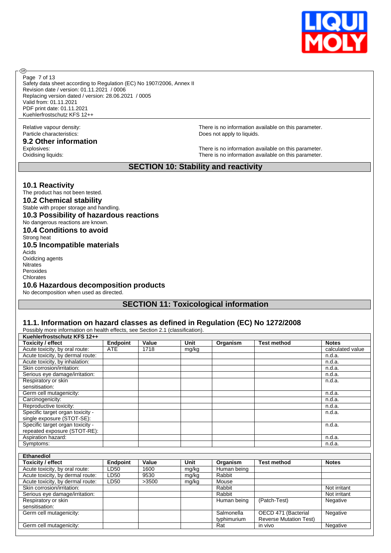

Page 7 of 13

**®** 

Safety data sheet according to Regulation (EC) No 1907/2006, Annex II Revision date / version: 01.11.2021 / 0006 Replacing version dated / version: 28.06.2021 / 0005 Valid from: 01.11.2021 PDF print date: 01.11.2021 Kuehlerfrostschutz KFS 12++

# Particle characteristics:  $\qquad \qquad \qquad$  Does not apply to liquids.

**9.2 Other information**

Relative vapour density: There is no information available on this parameter.

Explosives:<br>
Cxidising liquids:<br>
Oxidising liquids:<br>
Oxidising liquids: There is no information available on this parameter.

# **SECTION 10: Stability and reactivity**

#### **10.1 Reactivity**

The product has not been tested.

**10.2 Chemical stability**

Stable with proper storage and handling.

#### **10.3 Possibility of hazardous reactions**

No dangerous reactions are known.

**10.4 Conditions to avoid**

#### Strong heat **10.5 Incompatible materials** Acids

Oxidizing agents **Nitrates** Peroxides Chlorates

#### **10.6 Hazardous decomposition products**

No decomposition when used as directed.

### **SECTION 11: Toxicological information**

#### **11.1. Information on hazard classes as defined in Regulation (EC) No 1272/2008**

|                                  | Possibly more information on health effects, see Section 2.1 (classification). |       |       |          |                    |                  |  |  |
|----------------------------------|--------------------------------------------------------------------------------|-------|-------|----------|--------------------|------------------|--|--|
| Kuehlerfrostschutz KFS 12++      |                                                                                |       |       |          |                    |                  |  |  |
| <b>Toxicity / effect</b>         | <b>Endpoint</b>                                                                | Value | Unit  | Organism | <b>Test method</b> | <b>Notes</b>     |  |  |
| Acute toxicity, by oral route:   | <b>ATE</b>                                                                     | 1718  | mg/kg |          |                    | calculated value |  |  |
| Acute toxicity, by dermal route: |                                                                                |       |       |          |                    | n.d.a.           |  |  |
| Acute toxicity, by inhalation:   |                                                                                |       |       |          |                    | n.d.a.           |  |  |
| Skin corrosion/irritation:       |                                                                                |       |       |          |                    | n.d.a.           |  |  |
| Serious eye damage/irritation:   |                                                                                |       |       |          |                    | n.d.a.           |  |  |
| Respiratory or skin              |                                                                                |       |       |          |                    | n.d.a.           |  |  |
| sensitisation:                   |                                                                                |       |       |          |                    |                  |  |  |
| Germ cell mutagenicity:          |                                                                                |       |       |          |                    | n.d.a.           |  |  |
| Carcinogenicity:                 |                                                                                |       |       |          |                    | n.d.a.           |  |  |
| Reproductive toxicity:           |                                                                                |       |       |          |                    | n.d.a.           |  |  |
| Specific target organ toxicity - |                                                                                |       |       |          |                    | n.d.a.           |  |  |
| single exposure (STOT-SE):       |                                                                                |       |       |          |                    |                  |  |  |
| Specific target organ toxicity - |                                                                                |       |       |          |                    | n.d.a.           |  |  |
| repeated exposure (STOT-RE):     |                                                                                |       |       |          |                    |                  |  |  |
| Aspiration hazard:               |                                                                                |       |       |          |                    | n.d.a.           |  |  |
| Symptoms:                        |                                                                                |       |       |          |                    | n.d.a.           |  |  |

| <b>Ethanediol</b>                |                 |       |             |             |                               |              |
|----------------------------------|-----------------|-------|-------------|-------------|-------------------------------|--------------|
| <b>Toxicity / effect</b>         | <b>Endpoint</b> | Value | <b>Unit</b> | Organism    | <b>Test method</b>            | <b>Notes</b> |
| Acute toxicity, by oral route:   | LD50            | 1600  | mg/kg       | Human being |                               |              |
| Acute toxicity, by dermal route: | LD50            | 9530  | mg/kg       | Rabbit      |                               |              |
| Acute toxicity, by dermal route: | LD50            | >3500 | mg/kg       | Mouse       |                               |              |
| Skin corrosion/irritation:       |                 |       |             | Rabbit      |                               | Not irritant |
| Serious eye damage/irritation:   |                 |       |             | Rabbit      |                               | Not irritant |
| Respiratory or skin              |                 |       |             | Human being | (Patch-Test)                  | Negative     |
| sensitisation:                   |                 |       |             |             |                               |              |
| Germ cell mutagenicity:          |                 |       |             | Salmonella  | OECD 471 (Bacterial           | Negative     |
|                                  |                 |       |             | typhimurium | <b>Reverse Mutation Test)</b> |              |
| Germ cell mutagenicity:          |                 |       |             | Rat         | in vivo                       | Negative     |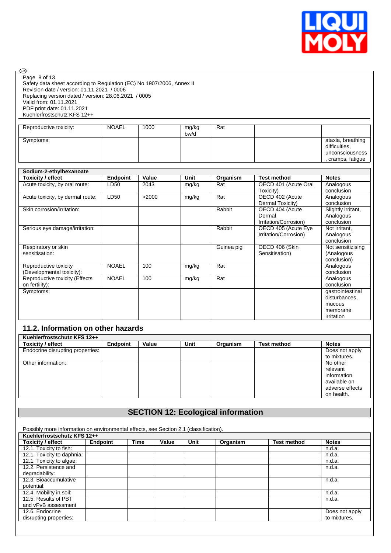

| – (GB)-                                                                                                                                                                                                                                                                            |                 |       |               |            |                           |                                                                          |  |  |  |
|------------------------------------------------------------------------------------------------------------------------------------------------------------------------------------------------------------------------------------------------------------------------------------|-----------------|-------|---------------|------------|---------------------------|--------------------------------------------------------------------------|--|--|--|
| Page 8 of 13<br>Safety data sheet according to Regulation (EC) No 1907/2006, Annex II<br>Revision date / version: 01.11.2021 / 0006<br>Replacing version dated / version: 28.06.2021 / 0005<br>Valid from: 01.11.2021<br>PDF print date: 01.11.2021<br>Kuehlerfrostschutz KFS 12++ |                 |       |               |            |                           |                                                                          |  |  |  |
| Reproductive toxicity:                                                                                                                                                                                                                                                             | <b>NOAEL</b>    | 1000  | mg/kg<br>bw/d | Rat        |                           |                                                                          |  |  |  |
| Symptoms:                                                                                                                                                                                                                                                                          |                 |       |               |            |                           | ataxia, breathing<br>difficulties.<br>unconsciousness<br>cramps, fatigue |  |  |  |
| Sodium-2-ethylhexanoate                                                                                                                                                                                                                                                            |                 |       |               |            |                           |                                                                          |  |  |  |
| <b>Toxicity / effect</b>                                                                                                                                                                                                                                                           | <b>Endpoint</b> | Value | <b>Unit</b>   | Organism   | <b>Test method</b>        | <b>Notes</b>                                                             |  |  |  |
| Acute toxicity, by oral route:                                                                                                                                                                                                                                                     | LD50            | 2043  | mg/kg         | Rat        | OECD 401 (Acute Oral      | Analogous                                                                |  |  |  |
|                                                                                                                                                                                                                                                                                    |                 |       |               |            | Toxicity)                 | conclusion                                                               |  |  |  |
| Acute toxicity, by dermal route:                                                                                                                                                                                                                                                   | LD50            | >2000 | mg/kg         | Rat        | OECD 402 (Acute           | Analogous                                                                |  |  |  |
|                                                                                                                                                                                                                                                                                    |                 |       |               |            | Dermal Toxicity)          | conclusion                                                               |  |  |  |
| Skin corrosion/irritation:                                                                                                                                                                                                                                                         |                 |       |               | Rabbit     | OECD 404 (Acute<br>Dermal | Slightly irritant,<br>Analogous                                          |  |  |  |
|                                                                                                                                                                                                                                                                                    |                 |       |               |            | Irritation/Corrosion)     | conclusion                                                               |  |  |  |
| Serious eye damage/irritation:                                                                                                                                                                                                                                                     |                 |       |               | Rabbit     | OECD 405 (Acute Eye       | Not irritant,                                                            |  |  |  |
|                                                                                                                                                                                                                                                                                    |                 |       |               |            | Irritation/Corrosion)     | Analogous                                                                |  |  |  |
|                                                                                                                                                                                                                                                                                    |                 |       |               |            |                           | conclusion                                                               |  |  |  |
| Respiratory or skin                                                                                                                                                                                                                                                                |                 |       |               | Guinea pig | OECD 406 (Skin            | Not sensitizising                                                        |  |  |  |
| sensitisation:                                                                                                                                                                                                                                                                     |                 |       |               |            | Sensitisation)            | (Analogous                                                               |  |  |  |
| Reproductive toxicity                                                                                                                                                                                                                                                              | <b>NOAEL</b>    | 100   | mg/kg         | Rat        |                           | conclusion)<br>Analogous                                                 |  |  |  |
| (Developmental toxicity):                                                                                                                                                                                                                                                          |                 |       |               |            |                           | conclusion                                                               |  |  |  |
| Reproductive toxicity (Effects                                                                                                                                                                                                                                                     | <b>NOAEL</b>    | 100   | mg/kg         | Rat        |                           | Analogous                                                                |  |  |  |
| on fertility):                                                                                                                                                                                                                                                                     |                 |       |               |            |                           | conclusion                                                               |  |  |  |
| Symptoms:                                                                                                                                                                                                                                                                          |                 |       |               |            |                           | gastrointestinal                                                         |  |  |  |
|                                                                                                                                                                                                                                                                                    |                 |       |               |            |                           | disturbances.                                                            |  |  |  |
|                                                                                                                                                                                                                                                                                    |                 |       |               |            |                           | mucous                                                                   |  |  |  |
|                                                                                                                                                                                                                                                                                    |                 |       |               |            |                           | membrane<br>irritation                                                   |  |  |  |
|                                                                                                                                                                                                                                                                                    |                 |       |               |            |                           |                                                                          |  |  |  |
| 11.2. Information on other hazards                                                                                                                                                                                                                                                 |                 |       |               |            |                           |                                                                          |  |  |  |
| Kuehlerfrostschutz KFS 12++                                                                                                                                                                                                                                                        |                 |       |               |            |                           |                                                                          |  |  |  |
| <b>Toxicity / effect</b>                                                                                                                                                                                                                                                           | <b>Endpoint</b> | Value | Unit          | Organism   | <b>Test method</b>        | <b>Notes</b>                                                             |  |  |  |
| Endocrine disrupting properties:                                                                                                                                                                                                                                                   |                 |       |               |            |                           | Does not apply                                                           |  |  |  |

| Endpoint | value | Unit | Organism | Test method | <b>NOtes</b>    |
|----------|-------|------|----------|-------------|-----------------|
|          |       |      |          |             | Does not apply  |
|          |       |      |          |             | to mixtures.    |
|          |       |      |          |             | No other        |
|          |       |      |          |             | relevant        |
|          |       |      |          |             | information     |
|          |       |      |          |             | available on    |
|          |       |      |          |             | adverse effects |
|          |       |      |          |             | on health.      |
|          |       |      |          |             |                 |

# **SECTION 12: Ecological information**

| Kuehlerfrostschutz KFS 12++ |                 |             |       |      |          |                    |                |  |  |  |
|-----------------------------|-----------------|-------------|-------|------|----------|--------------------|----------------|--|--|--|
| Toxicity / effect           | <b>Endpoint</b> | <b>Time</b> | Value | Unit | Organism | <b>Test method</b> | <b>Notes</b>   |  |  |  |
| 12.1. Toxicity to fish:     |                 |             |       |      |          |                    | n.d.a.         |  |  |  |
| 12.1. Toxicity to daphnia:  |                 |             |       |      |          |                    | n.d.a.         |  |  |  |
| 12.1. Toxicity to algae:    |                 |             |       |      |          |                    | n.d.a.         |  |  |  |
| 12.2. Persistence and       |                 |             |       |      |          |                    | n.d.a.         |  |  |  |
| degradability:              |                 |             |       |      |          |                    |                |  |  |  |
| 12.3. Bioaccumulative       |                 |             |       |      |          |                    | n.d.a.         |  |  |  |
| potential:                  |                 |             |       |      |          |                    |                |  |  |  |
| 12.4. Mobility in soil:     |                 |             |       |      |          |                    | n.d.a.         |  |  |  |
| 12.5. Results of PBT        |                 |             |       |      |          |                    | n.d.a.         |  |  |  |
| and vPvB assessment         |                 |             |       |      |          |                    |                |  |  |  |
| 12.6. Endocrine             |                 |             |       |      |          |                    | Does not apply |  |  |  |
| disrupting properties:      |                 |             |       |      |          |                    | to mixtures.   |  |  |  |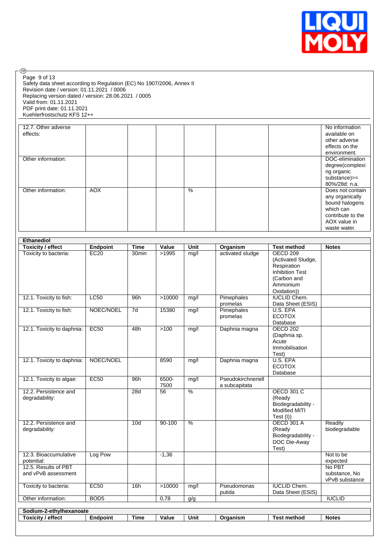

| Page 9 of 13<br>Safety data sheet according to Regulation (EC) No 1907/2006, Annex II<br>Revision date / version: 01.11.2021 / 0006<br>Replacing version dated / version: 28.06.2021 / 0005<br>Valid from: 01.11.2021 |  |  |  |  |  |  |
|-----------------------------------------------------------------------------------------------------------------------------------------------------------------------------------------------------------------------|--|--|--|--|--|--|
| PDF print date: 01.11.2021                                                                                                                                                                                            |  |  |  |  |  |  |
| Kuehlerfrostschutz KFS 12++                                                                                                                                                                                           |  |  |  |  |  |  |
|                                                                                                                                                                                                                       |  |  |  |  |  |  |
| 12.7 Other adverse                                                                                                                                                                                                    |  |  |  |  |  |  |

| 12.7. Other adverse<br>effects: |            |  |      |  | No information<br>available on |
|---------------------------------|------------|--|------|--|--------------------------------|
|                                 |            |  |      |  | other adverse                  |
|                                 |            |  |      |  | effects on the                 |
|                                 |            |  |      |  | environment.                   |
| Other information:              |            |  |      |  | DOC-elimination                |
|                                 |            |  |      |  | degree(complexi                |
|                                 |            |  |      |  | ng organic                     |
|                                 |            |  |      |  | substance)>=                   |
|                                 |            |  |      |  | 80%/28d: n.a.                  |
| Other information:              | <b>AOX</b> |  | $\%$ |  | Does not contain               |
|                                 |            |  |      |  | any organically                |
|                                 |            |  |      |  | bound halogens                 |
|                                 |            |  |      |  | which can                      |
|                                 |            |  |      |  | contribute to the              |
|                                 |            |  |      |  | AOX value in                   |
|                                 |            |  |      |  | waste water.                   |

| <b>Toxicity / effect</b>                    | Endpoint         | <b>Time</b>       | Value         | <b>Unit</b>     | Organism                            | <b>Test method</b>                                                                     | <b>Notes</b>                              |
|---------------------------------------------|------------------|-------------------|---------------|-----------------|-------------------------------------|----------------------------------------------------------------------------------------|-------------------------------------------|
| Toxicity to bacteria:                       | EC20             | 30 <sub>min</sub> | >1995         | mg/l            | activated sludge                    | <b>OECD 209</b><br>(Activated Sludge,<br>Respiration<br><b>Inhibition Test</b>         |                                           |
|                                             |                  |                   |               |                 |                                     | (Carbon and<br>Ammonium<br>Oxidation))                                                 |                                           |
| 12.1. Toxicity to fish:                     | LC50             | 96h               | >10000        | mg/l            | Pimephales<br>promelas              | <b>IUCLID Chem.</b><br>Data Sheet (ESIS)                                               |                                           |
| 12.1. Toxicity to fish:                     | NOEC/NOEL        | $\overline{7d}$   | 15380         | mg/l            | Pimephales<br>promelas              | U.S. EPA<br><b>ECOTOX</b><br>Database                                                  |                                           |
| 12.1. Toxicity to daphnia:                  | EC50             | 48h               | >100          | mg/l            | Daphnia magna                       | <b>OECD 202</b><br>(Daphnia sp.<br>Acute<br>Immobilisation<br>Test)                    |                                           |
| 12.1. Toxicity to daphnia:                  | NOEC/NOEL        |                   | 8590          | mg/l            | Daphnia magna                       | U.S. EPA<br><b>ECOTOX</b><br>Database                                                  |                                           |
| 12.1. Toxicity to algae:                    | EC50             | 96h               | 6500-<br>7500 | mg/l            | Pseudokirchneriell<br>a subcapitata |                                                                                        |                                           |
| 12.2. Persistence and<br>degradability:     |                  | 28d               | 56            | $\overline{\%}$ |                                     | <b>OECD 301 C</b><br>(Ready<br>Biodegradability -<br><b>Modified MITI</b><br>Test (I)) |                                           |
| 12.2. Persistence and<br>degradability:     |                  | 10 <sub>d</sub>   | $90 - 100$    | $\frac{0}{6}$   |                                     | <b>OECD 301 A</b><br>(Ready<br>Biodegradability -<br>DOC Die-Away<br>Test)             | Readily<br>biodegradable                  |
| 12.3. Bioaccumulative<br>potential:         | Log Pow          |                   | $-1,36$       |                 |                                     |                                                                                        | Not to be<br>expected                     |
| 12.5. Results of PBT<br>and vPvB assessment |                  |                   |               |                 |                                     |                                                                                        | No PBT<br>substance, No<br>vPvB substance |
| Toxicity to bacteria:                       | <b>EC50</b>      | 16h               | >10000        | mg/l            | Pseudomonas<br>putida               | <b>IUCLID Chem.</b><br>Data Sheet (ESIS)                                               |                                           |
| Other information:                          | BOD <sub>5</sub> |                   | 0,78          | g/g             |                                     |                                                                                        | <b>IUCLID</b>                             |
| Sodium-2-ethylhexanoate                     |                  |                   |               |                 |                                     |                                                                                        |                                           |
| <b>Toxicity / effect</b>                    | <b>Endpoint</b>  | <b>Time</b>       | Value         | <b>Unit</b>     | Organism                            | <b>Test method</b>                                                                     | <b>Notes</b>                              |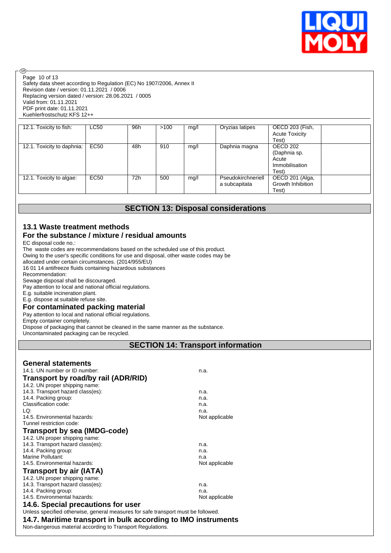

Safety data sheet according to Regulation (EC) No 1907/2006, Annex II Revision date / version: 01.11.2021 / 0006 Replacing version dated / version: 28.06.2021 / 0005 Valid from: 01.11.2021 PDF print date: 01.11.2021 Kuehlerfrostschutz KFS 12++ Page 10 of 13

| 12.1. Toxicity to fish:    | <b>LC50</b> | 96h | >100 | mg/l | Oryzias latipes                     | OECD 203 (Fish,<br><b>Acute Toxicity</b><br>Test)            |
|----------------------------|-------------|-----|------|------|-------------------------------------|--------------------------------------------------------------|
| 12.1. Toxicity to daphnia: | <b>EC50</b> | 48h | 910  | mg/l | Daphnia magna                       | OECD 202<br>(Daphnia sp.<br>Acute<br>Immobilisation<br>Test) |
| 12.1. Toxicity to algae:   | <b>EC50</b> | 72h | 500  | mg/l | Pseudokirchneriell<br>a subcapitata | OECD 201 (Alga,<br>Growth Inhibition<br>Test)                |

# **SECTION 13: Disposal considerations**

# **13.1 Waste treatment methods**

#### **For the substance / mixture / residual amounts**

EC disposal code no.:

**®** 

The waste codes are recommendations based on the scheduled use of this product.

Owing to the user's specific conditions for use and disposal, other waste codes may be

allocated under certain circumstances. (2014/955/EU)

16 01 14 antifreeze fluids containing hazardous substances

Recommendation:

Sewage disposal shall be discouraged. Pay attention to local and national official regulations.

E.g. suitable incineration plant.

E.g. dispose at suitable refuse site.

**For contaminated packing material** Pay attention to local and national official regulations.

Empty container completely.

Dispose of packaging that cannot be cleaned in the same manner as the substance.

Uncontaminated packaging can be recycled.

**SECTION 14: Transport information**

| <b>General statements</b><br>14.1. UN number or ID number:<br>Transport by road/by rail (ADR/RID)<br>14.2. UN proper shipping name: | n.a.           |
|-------------------------------------------------------------------------------------------------------------------------------------|----------------|
| 14.3. Transport hazard class(es):                                                                                                   | n.a.           |
| 14.4. Packing group:                                                                                                                | n.a.           |
| Classification code:                                                                                                                | n.a.           |
| LQ:                                                                                                                                 | n.a.           |
| 14.5. Environmental hazards:                                                                                                        | Not applicable |
| Tunnel restriction code:                                                                                                            |                |
| <b>Transport by sea (IMDG-code)</b>                                                                                                 |                |
| 14.2. UN proper shipping name:                                                                                                      |                |
| 14.3. Transport hazard class(es):                                                                                                   | n.a.           |
| 14.4. Packing group:                                                                                                                | n.a.           |
| Marine Pollutant:                                                                                                                   | n.a            |
| 14.5. Environmental hazards:                                                                                                        | Not applicable |
| Transport by air (IATA)                                                                                                             |                |
| 14.2. UN proper shipping name:                                                                                                      |                |
| 14.3. Transport hazard class(es):                                                                                                   | n.a.           |
| 14.4. Packing group:                                                                                                                | n.a.           |
| 14.5. Environmental hazards:                                                                                                        | Not applicable |
| 14.6. Special precautions for user                                                                                                  |                |
| Unless specified otherwise, general measures for safe transport must be followed.                                                   |                |
| 14.7. Maritime transport in bulk according to IMO instruments                                                                       |                |
| Non-dangerous material according to Transport Regulations.                                                                          |                |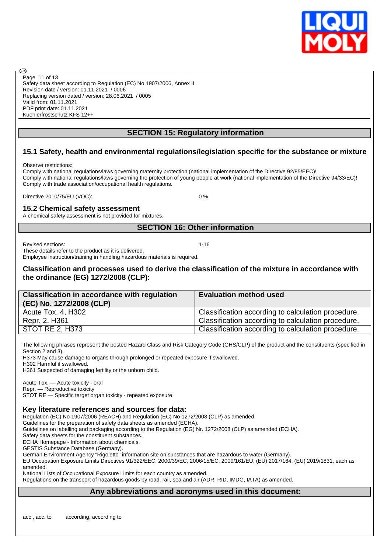

Safety data sheet according to Regulation (EC) No 1907/2006, Annex II Revision date / version: 01.11.2021 / 0006 Replacing version dated / version: 28.06.2021 / 0005 Valid from: 01.11.2021 PDF print date: 01.11.2021 Kuehlerfrostschutz KFS 12++ Page 11 of 13

# **SECTION 15: Regulatory information**

# **15.1 Safety, health and environmental regulations/legislation specific for the substance or mixture**

Observe restrictions:

രി

Comply with national regulations/laws governing maternity protection (national implementation of the Directive 92/85/EEC)! Comply with national regulations/laws governing the protection of young people at work (national implementation of the Directive 94/33/EC)! Comply with trade association/occupational health regulations.

Directive 2010/75/EU (VOC): 0 %

#### **15.2 Chemical safety assessment**

A chemical safety assessment is not provided for mixtures.

#### **SECTION 16: Other information**

Revised sections: 1-16

These details refer to the product as it is delivered.

Employee instruction/training in handling hazardous materials is required.

# **Classification and processes used to derive the classification of the mixture in accordance with the ordinance (EG) 1272/2008 (CLP):**

| <b>Classification in accordance with regulation</b><br>(EC) No. 1272/2008 (CLP) | <b>Evaluation method used</b>                      |
|---------------------------------------------------------------------------------|----------------------------------------------------|
| Acute Tox. 4, H302                                                              | Classification according to calculation procedure. |
| Repr. 2, H361                                                                   | Classification according to calculation procedure. |
| <b>STOT RE 2, H373</b>                                                          | Classification according to calculation procedure. |

The following phrases represent the posted Hazard Class and Risk Category Code (GHS/CLP) of the product and the constituents (specified in Section 2 and 3).

H373 May cause damage to organs through prolonged or repeated exposure if swallowed.

H302 Harmful if swallowed.

H361 Suspected of damaging fertility or the unborn child.

Acute Tox. — Acute toxicity - oral Repr. — Reproductive toxicity

STOT RE — Specific target organ toxicity - repeated exposure

# **Key literature references and sources for data:**

Regulation (EC) No 1907/2006 (REACH) and Regulation (EC) No 1272/2008 (CLP) as amended.

Guidelines for the preparation of safety data sheets as amended (ECHA).

Guidelines on labelling and packaging according to the Regulation (EG) Nr. 1272/2008 (CLP) as amended (ECHA).

Safety data sheets for the constituent substances.

ECHA Homepage - Information about chemicals.

GESTIS Substance Database (Germany).

German Environment Agency "Rigoletto" information site on substances that are hazardous to water (Germany).

EU Occupation Exposure Limits Directives 91/322/EEC, 2000/39/EC, 2006/15/EC, 2009/161/EU, (EU) 2017/164, (EU) 2019/1831, each as amended.

National Lists of Occupational Exposure Limits for each country as amended. Regulations on the transport of hazardous goods by road, rail, sea and air (ADR, RID, IMDG, IATA) as amended.

# **Any abbreviations and acronyms used in this document:**

acc., acc. to according, according to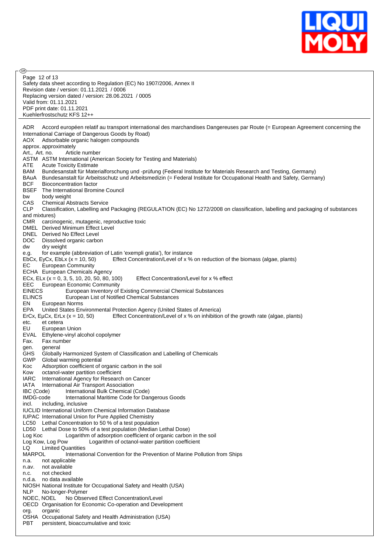

| @ි |                                                                                                                                                                  |
|----|------------------------------------------------------------------------------------------------------------------------------------------------------------------|
|    | Page 12 of 13                                                                                                                                                    |
|    | Safety data sheet according to Regulation (EC) No 1907/2006, Annex II                                                                                            |
|    | Revision date / version: 01.11.2021 / 0006                                                                                                                       |
|    | Replacing version dated / version: 28.06.2021 / 0005                                                                                                             |
|    | Valid from: 01.11.2021<br>PDF print date: 01.11.2021                                                                                                             |
|    | Kuehlerfrostschutz KFS 12++                                                                                                                                      |
|    |                                                                                                                                                                  |
|    | Accord européen relatif au transport international des marchandises Dangereuses par Route (= European Agreement concerning the<br>ADR                            |
|    | International Carriage of Dangerous Goods by Road)                                                                                                               |
|    | <b>AOX</b><br>Adsorbable organic halogen compounds                                                                                                               |
|    | approx. approximately                                                                                                                                            |
|    | Art., Art. no.<br>Article number                                                                                                                                 |
|    | ASTM ASTM International (American Society for Testing and Materials)                                                                                             |
|    | ATE<br><b>Acute Toxicity Estimate</b><br>BAM<br>Bundesanstalt für Materialforschung und -prüfung (Federal Institute for Materials Research and Testing, Germany) |
|    | Bundesanstalt für Arbeitsschutz und Arbeitsmedizin (= Federal Institute for Occupational Health and Safety, Germany)<br>BAuA                                     |
|    | <b>BCF</b><br>Bioconcentration factor                                                                                                                            |
|    | BSEF<br>The International Bromine Council                                                                                                                        |
|    | body weight<br>bw                                                                                                                                                |
|    | CAS<br><b>Chemical Abstracts Service</b>                                                                                                                         |
|    | <b>CLP</b><br>Classification, Labelling and Packaging (REGULATION (EC) No 1272/2008 on classification, labelling and packaging of substances                     |
|    | and mixtures)                                                                                                                                                    |
|    | <b>CMR</b><br>carcinogenic, mutagenic, reproductive toxic<br>DMEL Derived Minimum Effect Level                                                                   |
|    | DNEL Derived No Effect Level                                                                                                                                     |
|    | DOC.<br>Dissolved organic carbon                                                                                                                                 |
|    | dw<br>dry weight                                                                                                                                                 |
|    | for example (abbreviation of Latin 'exempli gratia'), for instance<br>e.g.                                                                                       |
|    | EbCx, EyCx, EbLx $(x = 10, 50)$<br>Effect Concentration/Level of x % on reduction of the biomass (algae, plants)                                                 |
|    | EС<br><b>European Community</b>                                                                                                                                  |
|    | ECHA European Chemicals Agency                                                                                                                                   |
|    | Effect Concentration/Level for x % effect<br>ECx, ELx ( $x = 0$ , 3, 5, 10, 20, 50, 80, 100)<br><b>EEC</b><br><b>European Economic Community</b>                 |
|    | <b>EINECS</b><br>European Inventory of Existing Commercial Chemical Substances                                                                                   |
|    | <b>ELINCS</b><br>European List of Notified Chemical Substances                                                                                                   |
|    | EN<br>European Norms                                                                                                                                             |
|    | EPA<br>United States Environmental Protection Agency (United States of America)                                                                                  |
|    | Effect Concentration/Level of x % on inhibition of the growth rate (algae, plants)<br>ErCx, EµCx, ErLx $(x = 10, 50)$                                            |
|    | et cetera<br>etc.                                                                                                                                                |
|    | EU<br>European Union                                                                                                                                             |
|    | EVAL Ethylene-vinyl alcohol copolymer<br>Fax.<br>Fax number                                                                                                      |
|    | general<br>gen.                                                                                                                                                  |
|    | <b>GHS</b><br>Globally Harmonized System of Classification and Labelling of Chemicals                                                                            |
|    | <b>GWP</b><br>Global warming potential                                                                                                                           |
|    | Koc<br>Adsorption coefficient of organic carbon in the soil                                                                                                      |
|    | octanol-water partition coefficient<br>Kow                                                                                                                       |
|    | <b>IARC</b><br>International Agency for Research on Cancer                                                                                                       |
|    | IATA<br>International Air Transport Association<br>IBC (Code)<br>International Bulk Chemical (Code)                                                              |
|    | IMDG-code<br>International Maritime Code for Dangerous Goods                                                                                                     |
|    | incl.<br>including, inclusive                                                                                                                                    |
|    | <b>IUCLID International Uniform Chemical Information Database</b>                                                                                                |
|    | IUPAC International Union for Pure Applied Chemistry                                                                                                             |
|    | Lethal Concentration to 50 % of a test population<br>LC50                                                                                                        |
|    | LD50<br>Lethal Dose to 50% of a test population (Median Lethal Dose)                                                                                             |
|    | Logarithm of adsorption coefficient of organic carbon in the soil<br>Log Koc                                                                                     |
|    | Logarithm of octanol-water partition coefficient<br>Log Kow, Log Pow<br>LQ<br><b>Limited Quantities</b>                                                          |
|    | <b>MARPOL</b><br>International Convention for the Prevention of Marine Pollution from Ships                                                                      |
|    | not applicable<br>n.a.                                                                                                                                           |
|    | not available<br>n.av.                                                                                                                                           |
|    | not checked<br>n.c.                                                                                                                                              |
|    | n.d.a. no data available                                                                                                                                         |
|    | NIOSH National Institute for Occupational Safety and Health (USA)                                                                                                |
|    | NLP<br>No-longer-Polymer<br>No Observed Effect Concentration/Level<br>NOEC, NOEL                                                                                 |
|    | OECD Organisation for Economic Co-operation and Development                                                                                                      |
|    | org.<br>organic                                                                                                                                                  |
|    | OSHA Occupational Safety and Health Administration (USA)                                                                                                         |
|    | PBT<br>persistent, bioaccumulative and toxic                                                                                                                     |
|    |                                                                                                                                                                  |